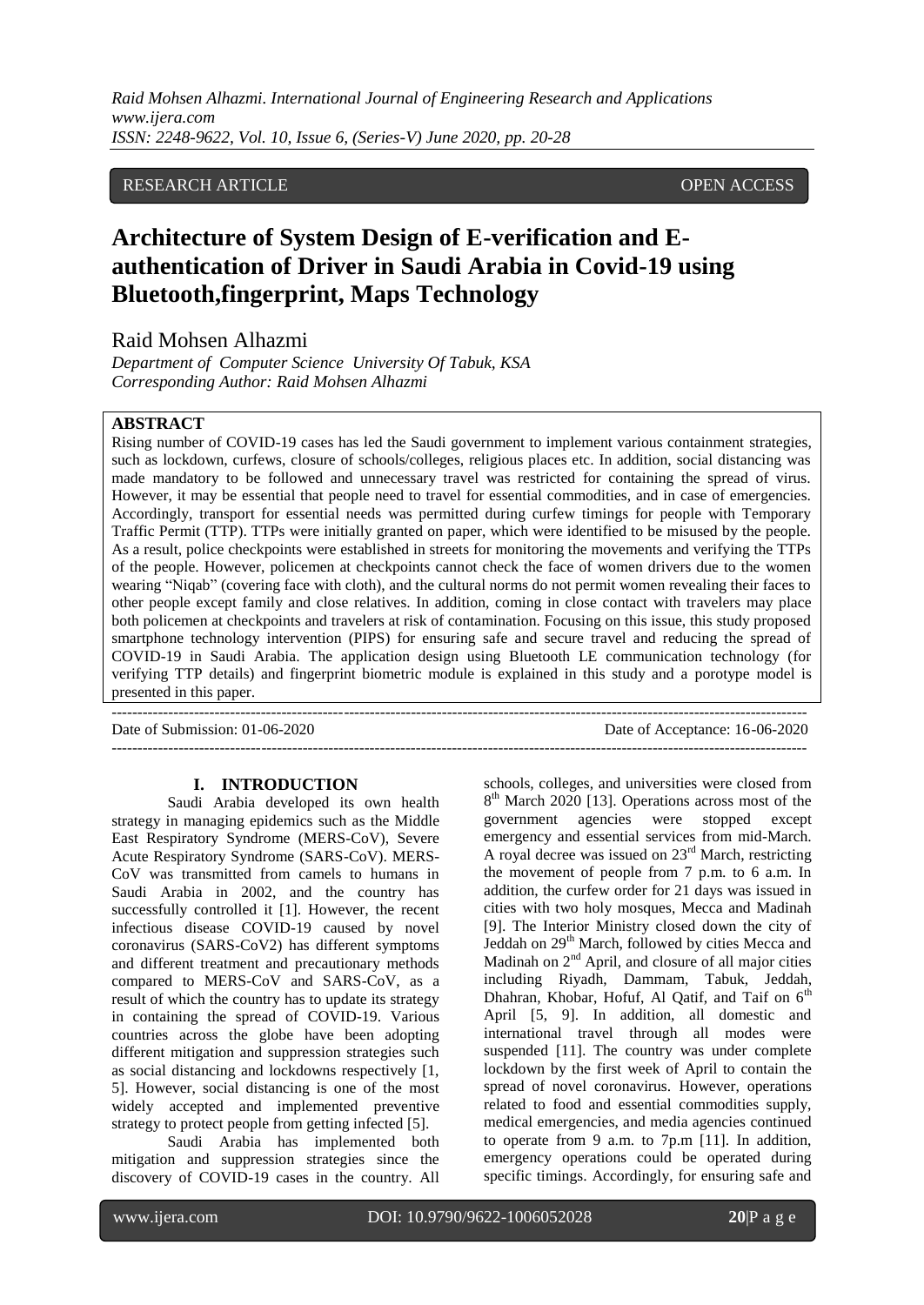*Raid Mohsen Alhazmi. International Journal of Engineering Research and Applications www.ijera.com ISSN: 2248-9622, Vol. 10, Issue 6, (Series-V) June 2020, pp. 20-28*

# RESEARCH ARTICLE OPEN ACCESS

# **Architecture of System Design of E-verification and Eauthentication of Driver in Saudi Arabia in Covid-19 using Bluetooth,fingerprint, Maps Technology**

Raid Mohsen Alhazmi

*Department of Computer Science University Of Tabuk, KSA Corresponding Author: Raid Mohsen Alhazmi*

#### **ABSTRACT**

Rising number of COVID-19 cases has led the Saudi government to implement various containment strategies, such as lockdown, curfews, closure of schools/colleges, religious places etc. In addition, social distancing was made mandatory to be followed and unnecessary travel was restricted for containing the spread of virus. However, it may be essential that people need to travel for essential commodities, and in case of emergencies. Accordingly, transport for essential needs was permitted during curfew timings for people with Temporary Traffic Permit (TTP). TTPs were initially granted on paper, which were identified to be misused by the people. As a result, police checkpoints were established in streets for monitoring the movements and verifying the TTPs of the people. However, policemen at checkpoints cannot check the face of women drivers due to the women wearing "Niqab" (covering face with cloth), and the cultural norms do not permit women revealing their faces to other people except family and close relatives. In addition, coming in close contact with travelers may place both policemen at checkpoints and travelers at risk of contamination. Focusing on this issue, this study proposed smartphone technology intervention (PIPS) for ensuring safe and secure travel and reducing the spread of COVID-19 in Saudi Arabia. The application design using Bluetooth LE communication technology (for verifying TTP details) and fingerprint biometric module is explained in this study and a porotype model is presented in this paper.

--------------------------------------------------------------------------------------------------------------------------------------- Date of Submission: 01-06-2020 Date of Acceptance: 16-06-2020 ---------------------------------------------------------------------------------------------------------------------------------------

# **I. INTRODUCTION**

Saudi Arabia developed its own health strategy in managing epidemics such as the Middle East Respiratory Syndrome (MERS-CoV), Severe Acute Respiratory Syndrome (SARS-CoV). MERS-CoV was transmitted from camels to humans in Saudi Arabia in 2002, and the country has successfully controlled it [1]. However, the recent infectious disease COVID-19 caused by novel coronavirus (SARS-CoV2) has different symptoms and different treatment and precautionary methods compared to MERS-CoV and SARS-CoV, as a result of which the country has to update its strategy in containing the spread of COVID-19. Various countries across the globe have been adopting different mitigation and suppression strategies such as social distancing and lockdowns respectively [1, 5]. However, social distancing is one of the most widely accepted and implemented preventive strategy to protect people from getting infected [5].

Saudi Arabia has implemented both mitigation and suppression strategies since the discovery of COVID-19 cases in the country. All schools, colleges, and universities were closed from 8<sup>th</sup> March 2020 [13]. Operations across most of the government agencies were stopped except emergency and essential services from mid-March. A royal decree was issued on  $23<sup>rd</sup>$  March, restricting the movement of people from 7 p.m. to 6 a.m. In addition, the curfew order for 21 days was issued in cities with two holy mosques, Mecca and Madinah [9]. The Interior Ministry closed down the city of Jeddah on 29<sup>th</sup> March, followed by cities Mecca and Madinah on  $2<sup>nd</sup>$  April, and closure of all major cities including Riyadh, Dammam, Tabuk, Jeddah, Dhahran, Khobar, Hofuf, Al Qatif, and Taif on  $6<sup>th</sup>$ April [5, 9]. In addition, all domestic and international travel through all modes were suspended [11]. The country was under complete lockdown by the first week of April to contain the spread of novel coronavirus. However, operations related to food and essential commodities supply, medical emergencies, and media agencies continued to operate from 9 a.m. to 7p.m [11]. In addition, emergency operations could be operated during specific timings. Accordingly, for ensuring safe and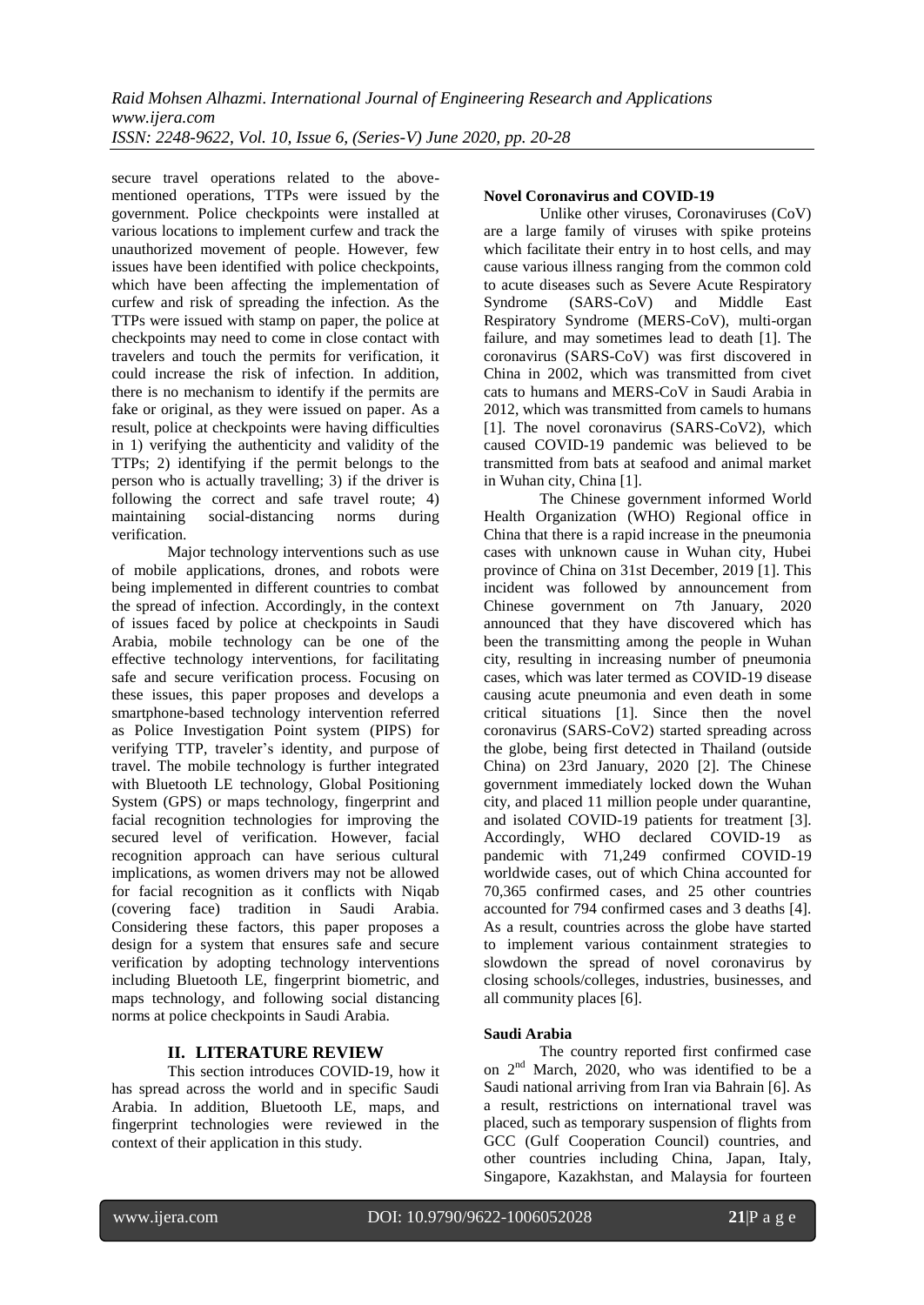secure travel operations related to the abovementioned operations, TTPs were issued by the government. Police checkpoints were installed at various locations to implement curfew and track the unauthorized movement of people. However, few issues have been identified with police checkpoints, which have been affecting the implementation of curfew and risk of spreading the infection. As the TTPs were issued with stamp on paper, the police at checkpoints may need to come in close contact with travelers and touch the permits for verification, it could increase the risk of infection. In addition, there is no mechanism to identify if the permits are fake or original, as they were issued on paper. As a result, police at checkpoints were having difficulties in 1) verifying the authenticity and validity of the TTPs; 2) identifying if the permit belongs to the person who is actually travelling; 3) if the driver is following the correct and safe travel route; 4) maintaining social-distancing norms during verification.

Major technology interventions such as use of mobile applications, drones, and robots were being implemented in different countries to combat the spread of infection. Accordingly, in the context of issues faced by police at checkpoints in Saudi Arabia, mobile technology can be one of the effective technology interventions, for facilitating safe and secure verification process. Focusing on these issues, this paper proposes and develops a smartphone-based technology intervention referred as Police Investigation Point system (PIPS) for verifying TTP, traveler's identity, and purpose of travel. The mobile technology is further integrated with Bluetooth LE technology, Global Positioning System (GPS) or maps technology, fingerprint and facial recognition technologies for improving the secured level of verification. However, facial recognition approach can have serious cultural implications, as women drivers may not be allowed for facial recognition as it conflicts with Niqab (covering face) tradition in Saudi Arabia. Considering these factors, this paper proposes a design for a system that ensures safe and secure verification by adopting technology interventions including Bluetooth LE, fingerprint biometric, and maps technology, and following social distancing norms at police checkpoints in Saudi Arabia.

# **II. LITERATURE REVIEW**

This section introduces COVID-19, how it has spread across the world and in specific Saudi Arabia. In addition, Bluetooth LE, maps, and fingerprint technologies were reviewed in the context of their application in this study.

#### **Novel Coronavirus and COVID-19**

Unlike other viruses, Coronaviruses (CoV) are a large family of viruses with spike proteins which facilitate their entry in to host cells, and may cause various illness ranging from the common cold to acute diseases such as Severe Acute Respiratory Syndrome (SARS-CoV) and Middle East Respiratory Syndrome (MERS-CoV), multi-organ failure, and may sometimes lead to death [1]. The coronavirus (SARS-CoV) was first discovered in China in 2002, which was transmitted from civet cats to humans and MERS-CoV in Saudi Arabia in 2012, which was transmitted from camels to humans [1]. The novel coronavirus (SARS-CoV2), which caused COVID-19 pandemic was believed to be transmitted from bats at seafood and animal market in Wuhan city, China [1].

The Chinese government informed World Health Organization (WHO) Regional office in China that there is a rapid increase in the pneumonia cases with unknown cause in Wuhan city, Hubei province of China on 31st December, 2019 [1]. This incident was followed by announcement from Chinese government on 7th January, 2020 announced that they have discovered which has been the transmitting among the people in Wuhan city, resulting in increasing number of pneumonia cases, which was later termed as COVID-19 disease causing acute pneumonia and even death in some critical situations [1]. Since then the novel coronavirus (SARS-CoV2) started spreading across the globe, being first detected in Thailand (outside China) on 23rd January, 2020 [2]. The Chinese government immediately locked down the Wuhan city, and placed 11 million people under quarantine, and isolated COVID-19 patients for treatment [3]. Accordingly, WHO declared COVID-19 as pandemic with 71,249 confirmed COVID-19 worldwide cases, out of which China accounted for 70,365 confirmed cases, and 25 other countries accounted for 794 confirmed cases and 3 deaths [4]. As a result, countries across the globe have started to implement various containment strategies to slowdown the spread of novel coronavirus by closing schools/colleges, industries, businesses, and all community places [6].

## **Saudi Arabia**

The country reported first confirmed case on 2nd March, 2020, who was identified to be a Saudi national arriving from Iran via Bahrain [6]. As a result, restrictions on international travel was placed, such as temporary suspension of flights from GCC (Gulf Cooperation Council) countries, and other countries including China, Japan, Italy, Singapore, Kazakhstan, and Malaysia for fourteen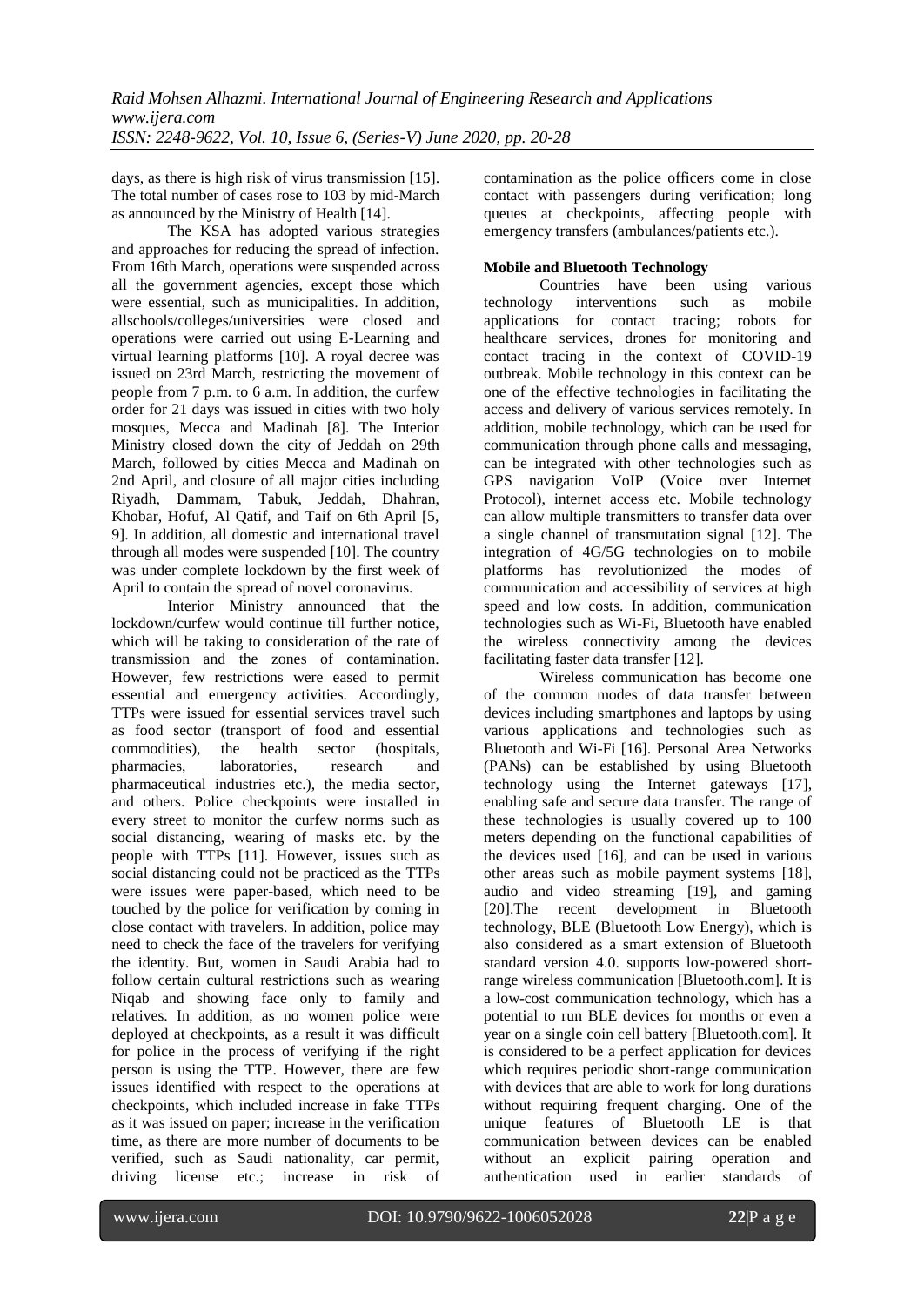days, as there is high risk of virus transmission [15]. The total number of cases rose to 103 by mid-March as announced by the Ministry of Health [14].

The KSA has adopted various strategies and approaches for reducing the spread of infection. From 16th March, operations were suspended across all the government agencies, except those which were essential, such as municipalities. In addition, allschools/colleges/universities were closed and operations were carried out using E-Learning and virtual learning platforms [10]. A royal decree was issued on 23rd March, restricting the movement of people from 7 p.m. to 6 a.m. In addition, the curfew order for 21 days was issued in cities with two holy mosques, Mecca and Madinah [8]. The Interior Ministry closed down the city of Jeddah on 29th March, followed by cities Mecca and Madinah on 2nd April, and closure of all major cities including Riyadh, Dammam, Tabuk, Jeddah, Dhahran, Khobar, Hofuf, Al Qatif, and Taif on 6th April [5, 9]. In addition, all domestic and international travel through all modes were suspended [10]. The country was under complete lockdown by the first week of April to contain the spread of novel coronavirus.

Interior Ministry announced that the lockdown/curfew would continue till further notice, which will be taking to consideration of the rate of transmission and the zones of contamination. However, few restrictions were eased to permit essential and emergency activities. Accordingly, TTPs were issued for essential services travel such as food sector (transport of food and essential commodities), the health sector (hospitals, pharmacies, laboratories, research and pharmaceutical industries etc.), the media sector, and others. Police checkpoints were installed in every street to monitor the curfew norms such as social distancing, wearing of masks etc. by the people with TTPs [11]. However, issues such as social distancing could not be practiced as the TTPs were issues were paper-based, which need to be touched by the police for verification by coming in close contact with travelers. In addition, police may need to check the face of the travelers for verifying the identity. But, women in Saudi Arabia had to follow certain cultural restrictions such as wearing Niqab and showing face only to family and relatives. In addition, as no women police were deployed at checkpoints, as a result it was difficult for police in the process of verifying if the right person is using the TTP. However, there are few issues identified with respect to the operations at checkpoints, which included increase in fake TTPs as it was issued on paper; increase in the verification time, as there are more number of documents to be verified, such as Saudi nationality, car permit, driving license etc.; increase in risk of contamination as the police officers come in close contact with passengers during verification; long queues at checkpoints, affecting people with emergency transfers (ambulances/patients etc.).

# **Mobile and Bluetooth Technology**

Countries have been using various technology interventions such as mobile applications for contact tracing; robots for healthcare services, drones for monitoring and contact tracing in the context of COVID-19 outbreak. Mobile technology in this context can be one of the effective technologies in facilitating the access and delivery of various services remotely. In addition, mobile technology, which can be used for communication through phone calls and messaging, can be integrated with other technologies such as GPS navigation VoIP (Voice over Internet Protocol), internet access etc. Mobile technology can allow multiple transmitters to transfer data over a single channel of transmutation signal [12]. The integration of 4G/5G technologies on to mobile platforms has revolutionized the modes of communication and accessibility of services at high speed and low costs. In addition, communication technologies such as Wi-Fi, Bluetooth have enabled the wireless connectivity among the devices facilitating faster data transfer [12].

Wireless communication has become one of the common modes of data transfer between devices including smartphones and laptops by using various applications and technologies such as Bluetooth and Wi-Fi [16]. Personal Area Networks (PANs) can be established by using Bluetooth technology using the Internet gateways [17], enabling safe and secure data transfer. The range of these technologies is usually covered up to 100 meters depending on the functional capabilities of the devices used [16], and can be used in various other areas such as mobile payment systems [18], audio and video streaming [19], and gaming [20].The recent development in Bluetooth technology, BLE (Bluetooth Low Energy), which is also considered as a smart extension of Bluetooth standard version 4.0. supports low-powered shortrange wireless communication [Bluetooth.com]. It is a low-cost communication technology, which has a potential to run BLE devices for months or even a year on a single coin cell battery [Bluetooth.com]. It is considered to be a perfect application for devices which requires periodic short-range communication with devices that are able to work for long durations without requiring frequent charging. One of the unique features of Bluetooth LE is that communication between devices can be enabled without an explicit pairing operation and authentication used in earlier standards of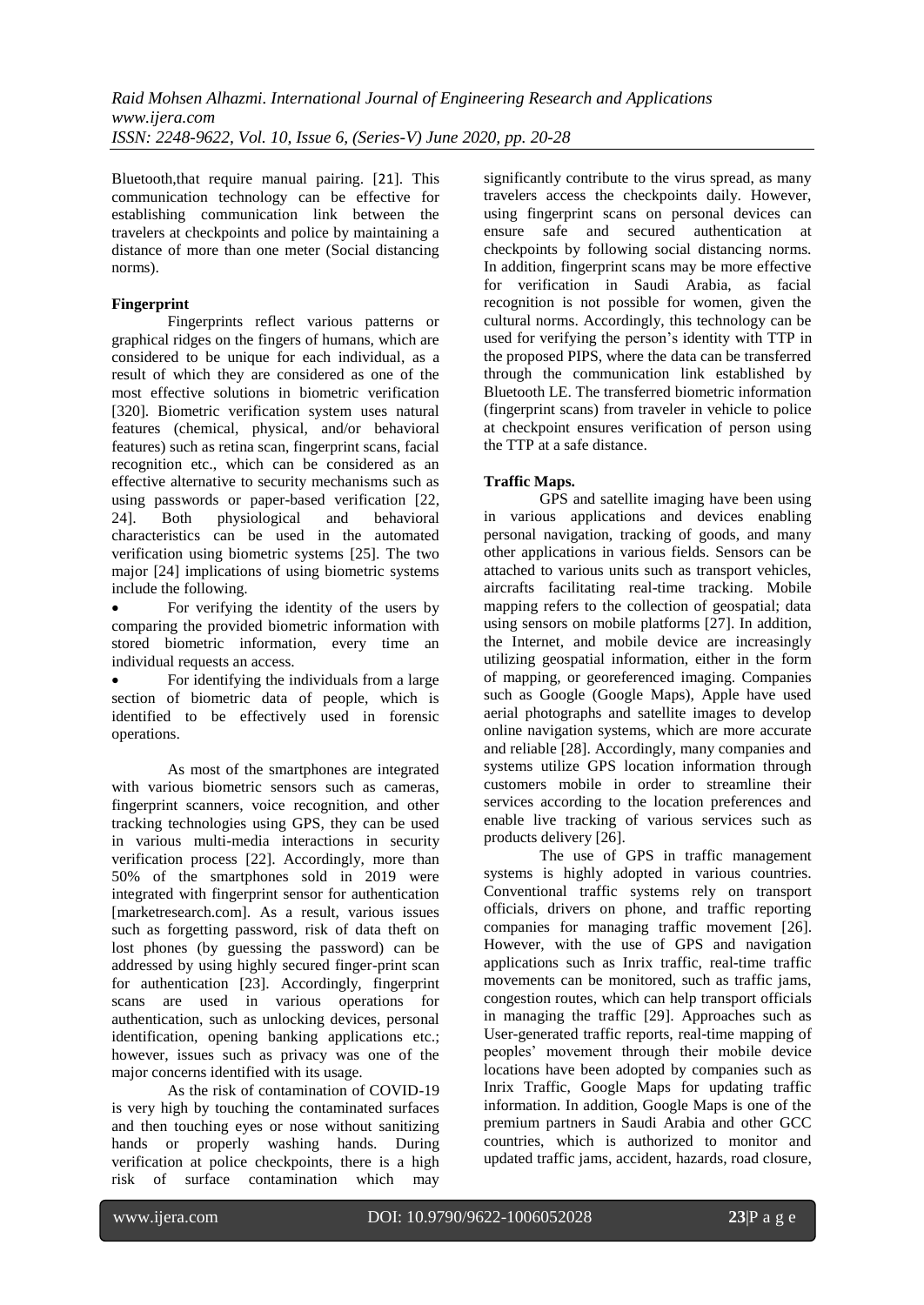Bluetooth,that require manual pairing. [21]. This communication technology can be effective for establishing communication link between the travelers at checkpoints and police by maintaining a distance of more than one meter (Social distancing norms).

# **Fingerprint**

Fingerprints reflect various patterns or graphical ridges on the fingers of humans, which are considered to be unique for each individual, as a result of which they are considered as one of the most effective solutions in biometric verification [320]. Biometric verification system uses natural features (chemical, physical, and/or behavioral features) such as retina scan, fingerprint scans, facial recognition etc., which can be considered as an effective alternative to security mechanisms such as using passwords or paper-based verification [22, 24]. Both physiological and behavioral characteristics can be used in the automated verification using biometric systems [25]. The two major [24] implications of using biometric systems include the following.

 For verifying the identity of the users by comparing the provided biometric information with stored biometric information, every time an individual requests an access.

 For identifying the individuals from a large section of biometric data of people, which is identified to be effectively used in forensic operations.

As most of the smartphones are integrated with various biometric sensors such as cameras, fingerprint scanners, voice recognition, and other tracking technologies using GPS, they can be used in various multi-media interactions in security verification process [22]. Accordingly, more than 50% of the smartphones sold in 2019 were integrated with fingerprint sensor for authentication [marketresearch.com]. As a result, various issues such as forgetting password, risk of data theft on lost phones (by guessing the password) can be addressed by using highly secured finger-print scan for authentication [23]. Accordingly, fingerprint scans are used in various operations for authentication, such as unlocking devices, personal identification, opening banking applications etc.; however, issues such as privacy was one of the major concerns identified with its usage.

As the risk of contamination of COVID-19 is very high by touching the contaminated surfaces and then touching eyes or nose without sanitizing hands or properly washing hands. During verification at police checkpoints, there is a high risk of surface contamination which may

significantly contribute to the virus spread, as many travelers access the checkpoints daily. However, using fingerprint scans on personal devices can ensure safe and secured authentication at checkpoints by following social distancing norms. In addition, fingerprint scans may be more effective for verification in Saudi Arabia, as facial recognition is not possible for women, given the cultural norms. Accordingly, this technology can be used for verifying the person's identity with TTP in the proposed PIPS, where the data can be transferred through the communication link established by Bluetooth LE. The transferred biometric information (fingerprint scans) from traveler in vehicle to police at checkpoint ensures verification of person using the TTP at a safe distance.

# **Traffic Maps.**

GPS and satellite imaging have been using in various applications and devices enabling personal navigation, tracking of goods, and many other applications in various fields. Sensors can be attached to various units such as transport vehicles, aircrafts facilitating real-time tracking. Mobile mapping refers to the collection of geospatial; data using sensors on mobile platforms [27]. In addition, the Internet, and mobile device are increasingly utilizing geospatial information, either in the form of mapping, or georeferenced imaging. Companies such as Google (Google Maps), Apple have used aerial photographs and satellite images to develop online navigation systems, which are more accurate and reliable [28]. Accordingly, many companies and systems utilize GPS location information through customers mobile in order to streamline their services according to the location preferences and enable live tracking of various services such as products delivery [26].

The use of GPS in traffic management systems is highly adopted in various countries. Conventional traffic systems rely on transport officials, drivers on phone, and traffic reporting companies for managing traffic movement [26]. However, with the use of GPS and navigation applications such as Inrix traffic, real-time traffic movements can be monitored, such as traffic jams, congestion routes, which can help transport officials in managing the traffic [29]. Approaches such as User-generated traffic reports, real-time mapping of peoples' movement through their mobile device locations have been adopted by companies such as Inrix Traffic, Google Maps for updating traffic information. In addition, Google Maps is one of the premium partners in Saudi Arabia and other GCC countries, which is authorized to monitor and updated traffic jams, accident, hazards, road closure,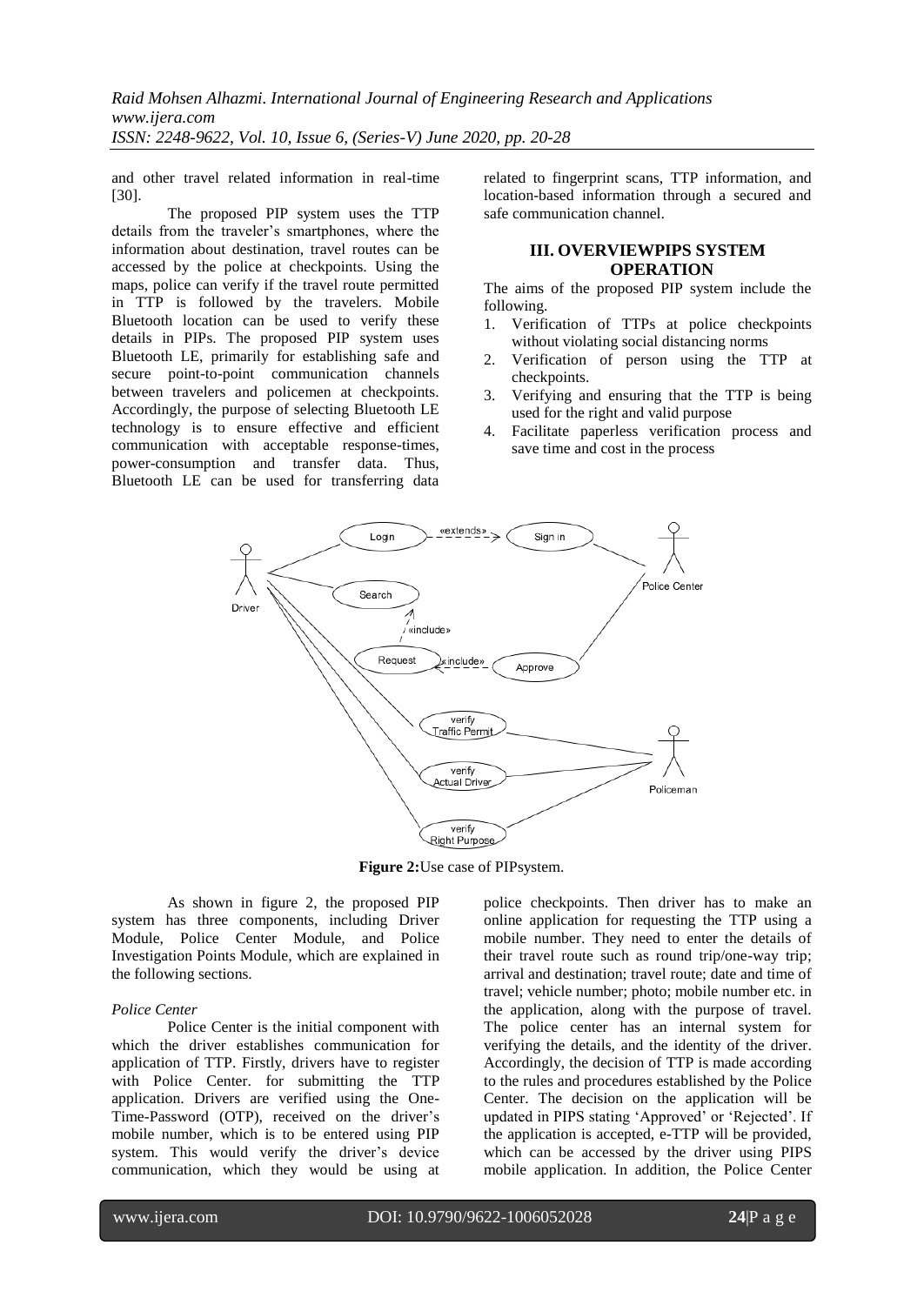and other travel related information in real-time [30].

The proposed PIP system uses the TTP details from the traveler's smartphones, where the information about destination, travel routes can be accessed by the police at checkpoints. Using the maps, police can verify if the travel route permitted in TTP is followed by the travelers. Mobile Bluetooth location can be used to verify these details in PIPs. The proposed PIP system uses Bluetooth LE, primarily for establishing safe and secure point-to-point communication channels between travelers and policemen at checkpoints. Accordingly, the purpose of selecting Bluetooth LE technology is to ensure effective and efficient communication with acceptable response-times, power-consumption and transfer data. Thus, Bluetooth LE can be used for transferring data

related to fingerprint scans, TTP information, and location-based information through a secured and safe communication channel.

# **III. OVERVIEWPIPS SYSTEM OPERATION**

The aims of the proposed PIP system include the following.

- 1. Verification of TTPs at police checkpoints without violating social distancing norms
- 2. Verification of person using the TTP at checkpoints.
- 3. Verifying and ensuring that the TTP is being used for the right and valid purpose
- 4. Facilitate paperless verification process and save time and cost in the process



**Figure 2:**Use case of PIPsystem.

As shown in figure 2, the proposed PIP system has three components, including Driver Module, Police Center Module, and Police Investigation Points Module, which are explained in the following sections.

#### *Police Center*

Police Center is the initial component with which the driver establishes communication for application of TTP. Firstly, drivers have to register with Police Center. for submitting the TTP application. Drivers are verified using the One-Time-Password (OTP), received on the driver's mobile number, which is to be entered using PIP system. This would verify the driver's device communication, which they would be using at police checkpoints. Then driver has to make an online application for requesting the TTP using a mobile number. They need to enter the details of their travel route such as round trip/one-way trip; arrival and destination; travel route; date and time of travel; vehicle number; photo; mobile number etc. in the application, along with the purpose of travel. The police center has an internal system for verifying the details, and the identity of the driver. Accordingly, the decision of TTP is made according to the rules and procedures established by the Police Center. The decision on the application will be updated in PIPS stating 'Approved' or 'Rejected'. If the application is accepted, e-TTP will be provided, which can be accessed by the driver using PIPS mobile application. In addition, the Police Center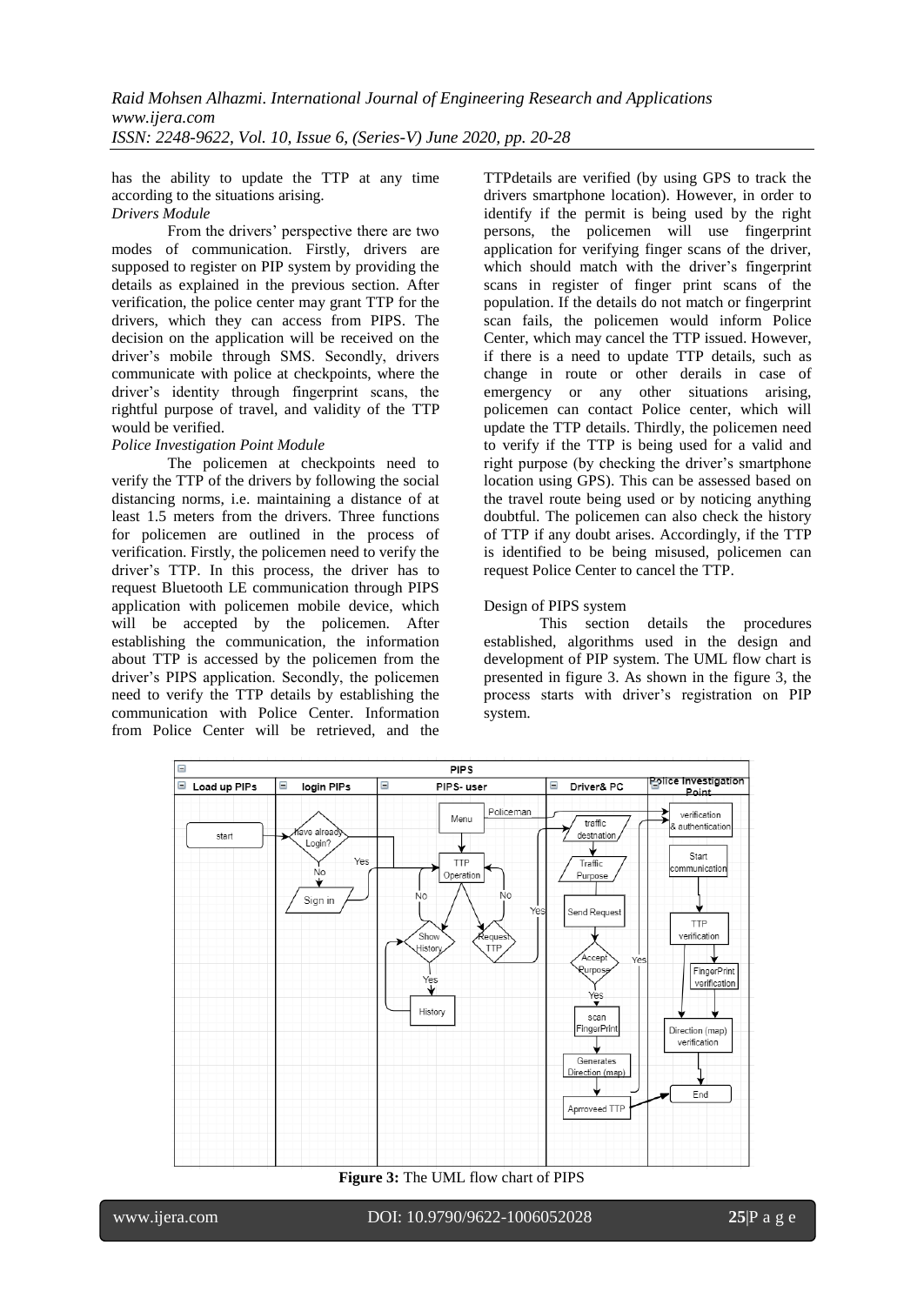has the ability to update the TTP at any time according to the situations arising.

# *Drivers Module*

From the drivers' perspective there are two modes of communication. Firstly, drivers are supposed to register on PIP system by providing the details as explained in the previous section. After verification, the police center may grant TTP for the drivers, which they can access from PIPS. The decision on the application will be received on the driver's mobile through SMS. Secondly, drivers communicate with police at checkpoints, where the driver's identity through fingerprint scans, the rightful purpose of travel, and validity of the TTP would be verified.

## *Police Investigation Point Module*

The policemen at checkpoints need to verify the TTP of the drivers by following the social distancing norms, i.e. maintaining a distance of at least 1.5 meters from the drivers. Three functions for policemen are outlined in the process of verification. Firstly, the policemen need to verify the driver's TTP. In this process, the driver has to request Bluetooth LE communication through PIPS application with policemen mobile device, which will be accepted by the policemen. After establishing the communication, the information about TTP is accessed by the policemen from the driver's PIPS application. Secondly, the policemen need to verify the TTP details by establishing the communication with Police Center. Information from Police Center will be retrieved, and the TTPdetails are verified (by using GPS to track the drivers smartphone location). However, in order to identify if the permit is being used by the right persons, the policemen will use fingerprint application for verifying finger scans of the driver, which should match with the driver's fingerprint scans in register of finger print scans of the population. If the details do not match or fingerprint scan fails, the policemen would inform Police Center, which may cancel the TTP issued. However, if there is a need to update TTP details, such as change in route or other derails in case of emergency or any other situations arising, policemen can contact Police center, which will update the TTP details. Thirdly, the policemen need to verify if the TTP is being used for a valid and right purpose (by checking the driver's smartphone location using GPS). This can be assessed based on the travel route being used or by noticing anything doubtful. The policemen can also check the history of TTP if any doubt arises. Accordingly, if the TTP is identified to be being misused, policemen can request Police Center to cancel the TTP.

## Design of PIPS system

This section details the procedures established, algorithms used in the design and development of PIP system. The UML flow chart is presented in figure 3. As shown in the figure 3, the process starts with driver's registration on PIP system.



**Figure 3:** The UML flow chart of PIPS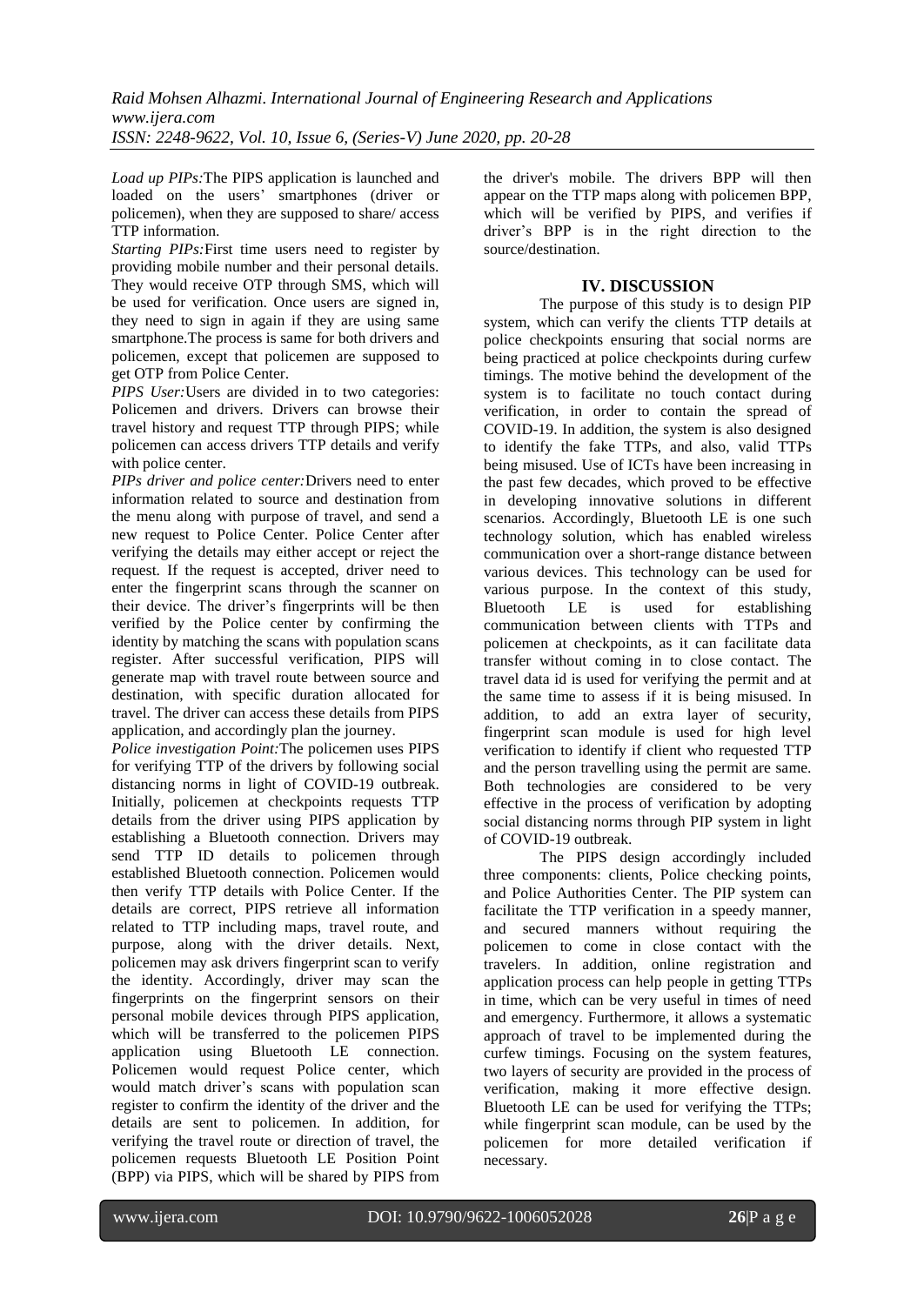*Load up PIPs:*The PIPS application is launched and loaded on the users' smartphones (driver or policemen), when they are supposed to share/ access TTP information.

*Starting PIPs:*First time users need to register by providing mobile number and their personal details. They would receive OTP through SMS, which will be used for verification. Once users are signed in, they need to sign in again if they are using same smartphone.The process is same for both drivers and policemen, except that policemen are supposed to get OTP from Police Center.

*PIPS User:* Users are divided in to two categories: Policemen and drivers. Drivers can browse their travel history and request TTP through PIPS; while policemen can access drivers TTP details and verify with police center.

*PIPs driver and police center:*Drivers need to enter information related to source and destination from the menu along with purpose of travel, and send a new request to Police Center. Police Center after verifying the details may either accept or reject the request. If the request is accepted, driver need to enter the fingerprint scans through the scanner on their device. The driver's fingerprints will be then verified by the Police center by confirming the identity by matching the scans with population scans register. After successful verification, PIPS will generate map with travel route between source and destination, with specific duration allocated for travel. The driver can access these details from PIPS application, and accordingly plan the journey.

*Police investigation Point:*The policemen uses PIPS for verifying TTP of the drivers by following social distancing norms in light of COVID-19 outbreak. Initially, policemen at checkpoints requests TTP details from the driver using PIPS application by establishing a Bluetooth connection. Drivers may send TTP ID details to policemen through established Bluetooth connection. Policemen would then verify TTP details with Police Center. If the details are correct, PIPS retrieve all information related to TTP including maps, travel route, and purpose, along with the driver details. Next, policemen may ask drivers fingerprint scan to verify the identity. Accordingly, driver may scan the fingerprints on the fingerprint sensors on their personal mobile devices through PIPS application, which will be transferred to the policemen PIPS application using Bluetooth LE connection. Policemen would request Police center, which would match driver's scans with population scan register to confirm the identity of the driver and the details are sent to policemen. In addition, for verifying the travel route or direction of travel, the policemen requests Bluetooth LE Position Point (BPP) via PIPS, which will be shared by PIPS from the driver's mobile. The drivers BPP will then appear on the TTP maps along with policemen BPP, which will be verified by PIPS, and verifies if driver's BPP is in the right direction to the source/destination.

## **IV. DISCUSSION**

The purpose of this study is to design PIP system, which can verify the clients TTP details at police checkpoints ensuring that social norms are being practiced at police checkpoints during curfew timings. The motive behind the development of the system is to facilitate no touch contact during verification, in order to contain the spread of COVID-19. In addition, the system is also designed to identify the fake TTPs, and also, valid TTPs being misused. Use of ICTs have been increasing in the past few decades, which proved to be effective in developing innovative solutions in different scenarios. Accordingly, Bluetooth LE is one such technology solution, which has enabled wireless communication over a short-range distance between various devices. This technology can be used for various purpose. In the context of this study, Bluetooth LE is used for establishing communication between clients with TTPs and policemen at checkpoints, as it can facilitate data transfer without coming in to close contact. The travel data id is used for verifying the permit and at the same time to assess if it is being misused. In addition, to add an extra layer of security, fingerprint scan module is used for high level verification to identify if client who requested TTP and the person travelling using the permit are same. Both technologies are considered to be very effective in the process of verification by adopting social distancing norms through PIP system in light of COVID-19 outbreak.

The PIPS design accordingly included three components: clients, Police checking points, and Police Authorities Center. The PIP system can facilitate the TTP verification in a speedy manner, and secured manners without requiring the policemen to come in close contact with the travelers. In addition, online registration and application process can help people in getting TTPs in time, which can be very useful in times of need and emergency. Furthermore, it allows a systematic approach of travel to be implemented during the curfew timings. Focusing on the system features, two layers of security are provided in the process of verification, making it more effective design. Bluetooth LE can be used for verifying the TTPs; while fingerprint scan module, can be used by the policemen for more detailed verification if necessary.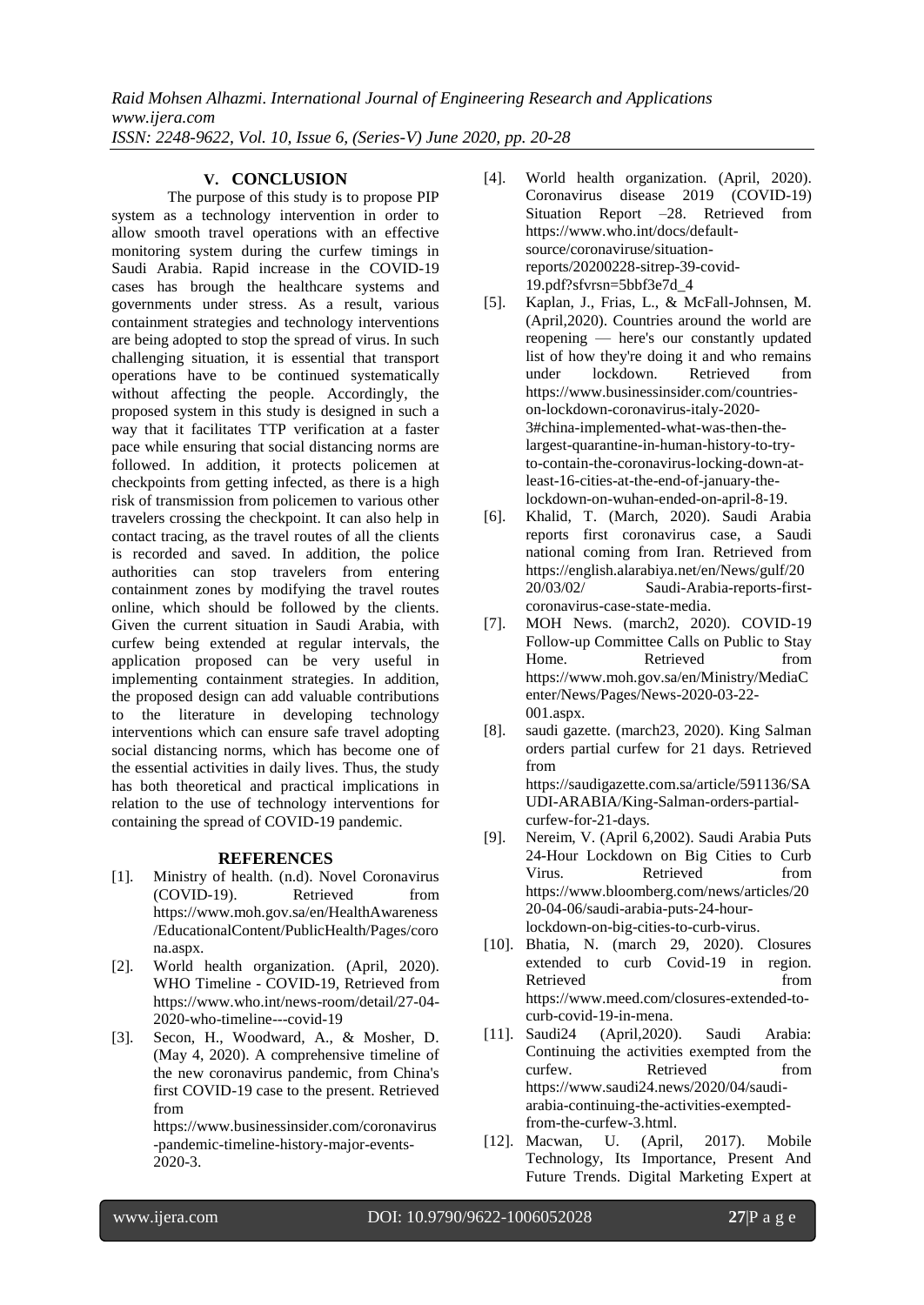*Raid Mohsen Alhazmi. International Journal of Engineering Research and Applications www.ijera.com ISSN: 2248-9622, Vol. 10, Issue 6, (Series-V) June 2020, pp. 20-28*

## **V. CONCLUSION**

The purpose of this study is to propose PIP system as a technology intervention in order to allow smooth travel operations with an effective monitoring system during the curfew timings in Saudi Arabia. Rapid increase in the COVID-19 cases has brough the healthcare systems and governments under stress. As a result, various containment strategies and technology interventions are being adopted to stop the spread of virus. In such challenging situation, it is essential that transport operations have to be continued systematically without affecting the people. Accordingly, the proposed system in this study is designed in such a way that it facilitates TTP verification at a faster pace while ensuring that social distancing norms are followed. In addition, it protects policemen at checkpoints from getting infected, as there is a high risk of transmission from policemen to various other travelers crossing the checkpoint. It can also help in contact tracing, as the travel routes of all the clients is recorded and saved. In addition, the police authorities can stop travelers from entering containment zones by modifying the travel routes online, which should be followed by the clients. Given the current situation in Saudi Arabia, with curfew being extended at regular intervals, the application proposed can be very useful in implementing containment strategies. In addition, the proposed design can add valuable contributions to the literature in developing technology interventions which can ensure safe travel adopting social distancing norms, which has become one of the essential activities in daily lives. Thus, the study has both theoretical and practical implications in relation to the use of technology interventions for containing the spread of COVID-19 pandemic.

## **REFERENCES**

- [1]. Ministry of health. (n.d). Novel Coronavirus (COVID-19). Retrieved from [https://www.moh.gov.sa/en/HealthAwareness](https://www.moh.gov.sa/en/HealthAwareness/EducationalContent/PublicHealth/Pages/corona.aspx) [/EducationalContent/PublicHealth/Pages/coro](https://www.moh.gov.sa/en/HealthAwareness/EducationalContent/PublicHealth/Pages/corona.aspx) [na.aspx.](https://www.moh.gov.sa/en/HealthAwareness/EducationalContent/PublicHealth/Pages/corona.aspx)
- [2]. World health organization. (April, 2020). WHO Timeline - COVID-19, Retrieved from [https://www.who.int/news-room/detail/27-04-](https://www.who.int/news-room/detail/27-04-2020-who-timeline---covid-19) [2020-who-timeline---covid-19](https://www.who.int/news-room/detail/27-04-2020-who-timeline---covid-19)
- [3]. Secon, H., Woodward, A., & Mosher, D. (May 4, 2020). A comprehensive timeline of the new coronavirus pandemic, from China's first COVID-19 case to the present. Retrieved from

[https://www.businessinsider.com/coronavirus](https://www.businessinsider.com/coronavirus-pandemic-timeline-history-major-events-2020-3) [-pandemic-timeline-history-major-events-](https://www.businessinsider.com/coronavirus-pandemic-timeline-history-major-events-2020-3)[2020-3.](https://www.businessinsider.com/coronavirus-pandemic-timeline-history-major-events-2020-3)

- [4]. World health organization. (April, 2020). Coronavirus disease 2019 (COVID-19) Situation Report –28. Retrieved from https://www.who.int/docs/defaultsource/coronaviruse/situationreports/20200228-sitrep-39-covid-19.pdf?sfvrsn=5bbf3e7d\_4
- [5]. Kaplan, J., Frias, L., & McFall-Johnsen, M. (April,2020). Countries around the world are reopening — here's our constantly updated list of how they're doing it and who remains under lockdown. Retrieved from [https://www.businessinsider.com/countries](https://www.businessinsider.com/countries-on-lockdown-coronavirus-italy-2020-3#china-implemented-what-was-then-the-largest-quarantine-in-human-history-to-try-to-contain-the-coronavirus-locking-down-at-least-16-cities-at-the-end-of-january-the-lockdown-on-wuhan-ended-on-april-8-19)[on-lockdown-coronavirus-italy-2020-](https://www.businessinsider.com/countries-on-lockdown-coronavirus-italy-2020-3#china-implemented-what-was-then-the-largest-quarantine-in-human-history-to-try-to-contain-the-coronavirus-locking-down-at-least-16-cities-at-the-end-of-january-the-lockdown-on-wuhan-ended-on-april-8-19) [3#china-implemented-what-was-then-the](https://www.businessinsider.com/countries-on-lockdown-coronavirus-italy-2020-3#china-implemented-what-was-then-the-largest-quarantine-in-human-history-to-try-to-contain-the-coronavirus-locking-down-at-least-16-cities-at-the-end-of-january-the-lockdown-on-wuhan-ended-on-april-8-19)[largest-quarantine-in-human-history-to-try](https://www.businessinsider.com/countries-on-lockdown-coronavirus-italy-2020-3#china-implemented-what-was-then-the-largest-quarantine-in-human-history-to-try-to-contain-the-coronavirus-locking-down-at-least-16-cities-at-the-end-of-january-the-lockdown-on-wuhan-ended-on-april-8-19)[to-contain-the-coronavirus-locking-down-at](https://www.businessinsider.com/countries-on-lockdown-coronavirus-italy-2020-3#china-implemented-what-was-then-the-largest-quarantine-in-human-history-to-try-to-contain-the-coronavirus-locking-down-at-least-16-cities-at-the-end-of-january-the-lockdown-on-wuhan-ended-on-april-8-19)[least-16-cities-at-the-end-of-january-the](https://www.businessinsider.com/countries-on-lockdown-coronavirus-italy-2020-3#china-implemented-what-was-then-the-largest-quarantine-in-human-history-to-try-to-contain-the-coronavirus-locking-down-at-least-16-cities-at-the-end-of-january-the-lockdown-on-wuhan-ended-on-april-8-19)[lockdown-on-wuhan-ended-on-april-8-19.](https://www.businessinsider.com/countries-on-lockdown-coronavirus-italy-2020-3#china-implemented-what-was-then-the-largest-quarantine-in-human-history-to-try-to-contain-the-coronavirus-locking-down-at-least-16-cities-at-the-end-of-january-the-lockdown-on-wuhan-ended-on-april-8-19)
- [6]. Khalid, T. (March, 2020). Saudi Arabia reports first coronavirus case, a Saudi national coming from Iran. Retrieved from https://english.alarabiya.net/en/News/gulf/20 20/03/02/ Saudi-Arabia-reports-firstcoronavirus-case-state-media.
- [7]. MOH News. (march2, 2020). COVID-19 Follow-up Committee Calls on Public to Stay Home. Retrieved from [https://www.moh.gov.sa/en/Ministry/MediaC](https://www.moh.gov.sa/en/Ministry/MediaCenter/News/Pages/News-2020-03-22-001.aspx) [enter/News/Pages/News-2020-03-22-](https://www.moh.gov.sa/en/Ministry/MediaCenter/News/Pages/News-2020-03-22-001.aspx) [001.aspx.](https://www.moh.gov.sa/en/Ministry/MediaCenter/News/Pages/News-2020-03-22-001.aspx)
- [8]. saudi gazette. (march23, 2020). King Salman orders partial curfew for 21 days. Retrieved from [https://saudigazette.com.sa/article/591136/SA](https://saudigazette.com.sa/article/591136/SAUDI-ARABIA/King-Salman-orders-partial-curfew-for-21-days) [UDI-ARABIA/King-Salman-orders-partial](https://saudigazette.com.sa/article/591136/SAUDI-ARABIA/King-Salman-orders-partial-curfew-for-21-days)[curfew-for-21-days.](https://saudigazette.com.sa/article/591136/SAUDI-ARABIA/King-Salman-orders-partial-curfew-for-21-days)
- [9]. Nereim, V. (April 6,2002). Saudi Arabia Puts 24-Hour Lockdown on Big Cities to Curb Virus. Retrieved from [https://www.bloomberg.com/news/articles/20](https://www.bloomberg.com/news/articles/2020-04-06/saudi-arabia-puts-24-hour-lockdown-on-big-cities-to-curb-virus) [20-04-06/saudi-arabia-puts-24-hour](https://www.bloomberg.com/news/articles/2020-04-06/saudi-arabia-puts-24-hour-lockdown-on-big-cities-to-curb-virus)[lockdown-on-big-cities-to-curb-virus.](https://www.bloomberg.com/news/articles/2020-04-06/saudi-arabia-puts-24-hour-lockdown-on-big-cities-to-curb-virus)
- [10]. Bhatia, N. (march 29, 2020). Closures extended to curb Covid-19 in region. Retrieved from [https://www.meed.com/closures-extended-to](https://www.meed.com/closures-extended-to-curb-covid-19-in-mena)[curb-covid-19-in-mena.](https://www.meed.com/closures-extended-to-curb-covid-19-in-mena)
- [11]. Saudi24 (April,2020). Saudi Arabia: Continuing the activities exempted from the curfew. Retrieved from [https://www.saudi24.news/2020/04/saudi](https://www.saudi24.news/2020/04/saudi-arabia-continuing-the-activities-exempted-from-the-curfew-3.html)[arabia-continuing-the-activities-exempted](https://www.saudi24.news/2020/04/saudi-arabia-continuing-the-activities-exempted-from-the-curfew-3.html)[from-the-curfew-3.html.](https://www.saudi24.news/2020/04/saudi-arabia-continuing-the-activities-exempted-from-the-curfew-3.html)
- [12]. Macwan, U. (April, 2017). Mobile Technology, Its Importance, Present And Future Trends. Digital Marketing Expert at